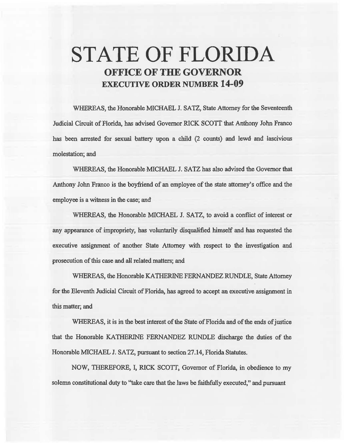# **STATE OF FLORIDA OFFICE OF THE GOVERNOR EXECUTIVE ORDER NUMBER 14-09**

WHEREAS, the Honorable MICHAEL J. SATZ, State Attorney for the Seventeenth Judicial Circuit of Florida, has advised Governor RICK SCOTT that Anthony John Franco has been arrested for sexual battery upon a child (2 counts) and lewd and lascivious molestation; and

WHEREAS, the Honorable MICHAEL J. SATZ has also advised the Governor that Anthony John Franco is the boyfriend of an employee of the state attorney's office and the employee is a witness in the case; and

WHEREAS, the Honorable MICHAEL J. SATZ, to avoid a conflict of interest or any appearance of impropriety, has voluntarily disqualified himself and has requested the executive assignment of another State Attorney with respect to the investigation and prosecution of this case and all related matters; and

WHEREAS, the Honorable KATHERINE FERNANDEZ RUNDLE, State Attorney for the Eleventh Judicial Circuit of Florida, has agreed to accept an executive assignment in this matter; and

WHEREAS, it is in the best interest of the State of Florida and of the ends of justice that the Honorable KATHERINE FERNANDEZ RUNDLE discharge the duties of the Honorable MICHAEL J. SATZ, pursuant to section 27.14, Florida Statutes.

NOW, THEREFORE, I, RICK SCOTT, Governor of Florida, in obedience to my solemn constitutional duty to "take care that the laws be faithfully executed," and pursuant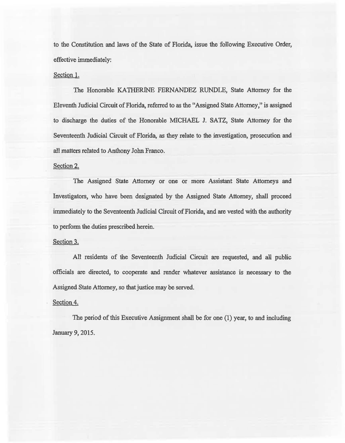to the Constitution and laws of the State of Florida, issue the following Executive Order, effective immediately:

#### Section 1.

The Honorable KATHERINE FERNANDEZ RUNDLE, State Attorney for the Eleventh Judicial Circuit of Florida, referred to as the "Assigned State Attorney," is assigned to discharge the duties of the Honorable MICHAEL J. SATZ, State Attorney for 'the Seventeenth Judicial Circuit of Florida, as they relate to the investigation, prosecution and all matters related to Anthony John. Franco.

## Section 2.

The Assigned State Attorney or one or more Assistant State Attorneys and Investigators, who have been designated by the Assigned State Attorney, shall proceed immediately to the Seventeenth Judicial Circuit of Florida, and are vested with the authority to perform the duties prescribed herein.

## Section 3.

All residents of the Seventeenth Judicial Circuit are requested, and all public officials are directed, to cooperate and render whatever assistance is necessary to the Assigned State Attorney, so that justice may be served.

## Section 4.

The period of this Executive Assignment shall be for one (1) year, to and including January 9, 2015.